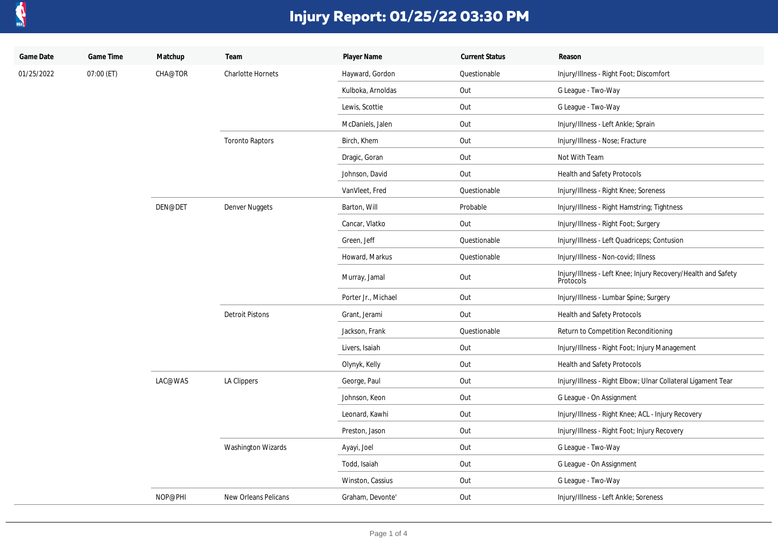

| Game Date  | Game Time  | Matchup | Team                      | Player Name         | <b>Current Status</b> | Reason                                                                     |
|------------|------------|---------|---------------------------|---------------------|-----------------------|----------------------------------------------------------------------------|
| 01/25/2022 | 07:00 (ET) | CHA@TOR | <b>Charlotte Hornets</b>  | Hayward, Gordon     | Questionable          | Injury/Illness - Right Foot; Discomfort                                    |
|            |            |         |                           | Kulboka, Arnoldas   | Out                   | G League - Two-Way                                                         |
|            |            |         |                           | Lewis, Scottie      | Out                   | G League - Two-Way                                                         |
|            |            |         |                           | McDaniels, Jalen    | Out                   | Injury/Illness - Left Ankle; Sprain                                        |
|            |            |         | <b>Toronto Raptors</b>    | Birch, Khem         | Out                   | Injury/Illness - Nose; Fracture                                            |
|            |            |         |                           | Dragic, Goran       | Out                   | Not With Team                                                              |
|            |            |         |                           | Johnson, David      | Out                   | Health and Safety Protocols                                                |
|            |            |         |                           | VanVleet, Fred      | Questionable          | Injury/Illness - Right Knee; Soreness                                      |
|            |            | DEN@DET | Denver Nuggets            | Barton, Will        | Probable              | Injury/Illness - Right Hamstring; Tightness                                |
|            |            |         |                           | Cancar, Vlatko      | Out                   | Injury/Illness - Right Foot; Surgery                                       |
|            |            |         |                           | Green, Jeff         | Questionable          | Injury/Illness - Left Quadriceps; Contusion                                |
|            |            |         |                           | Howard, Markus      | Questionable          | Injury/Illness - Non-covid; Illness                                        |
|            |            |         |                           | Murray, Jamal       | Out                   | Injury/Illness - Left Knee; Injury Recovery/Health and Safety<br>Protocols |
|            |            |         |                           | Porter Jr., Michael | Out                   | Injury/Illness - Lumbar Spine; Surgery                                     |
|            |            |         | <b>Detroit Pistons</b>    | Grant, Jerami       | Out                   | Health and Safety Protocols                                                |
|            |            |         |                           | Jackson, Frank      | Questionable          | Return to Competition Reconditioning                                       |
|            |            |         |                           | Livers, Isaiah      | Out                   | Injury/Illness - Right Foot; Injury Management                             |
|            |            |         |                           | Olynyk, Kelly       | Out                   | Health and Safety Protocols                                                |
|            |            | LAC@WAS | LA Clippers               | George, Paul        | Out                   | Injury/Illness - Right Elbow; Ulnar Collateral Ligament Tear               |
|            |            |         |                           | Johnson, Keon       | Out                   | G League - On Assignment                                                   |
|            |            |         |                           | Leonard, Kawhi      | Out                   | Injury/Illness - Right Knee; ACL - Injury Recovery                         |
|            |            |         |                           | Preston, Jason      | Out                   | Injury/Illness - Right Foot; Injury Recovery                               |
|            |            |         | <b>Washington Wizards</b> | Ayayi, Joel         | Out                   | G League - Two-Way                                                         |
|            |            |         |                           | Todd, Isaiah        | Out                   | G League - On Assignment                                                   |
|            |            |         |                           | Winston, Cassius    | Out                   | G League - Two-Way                                                         |
|            |            | NOP@PHI | New Orleans Pelicans      | Graham, Devonte'    | Out                   | Injury/Illness - Left Ankle; Soreness                                      |
|            |            |         |                           |                     |                       |                                                                            |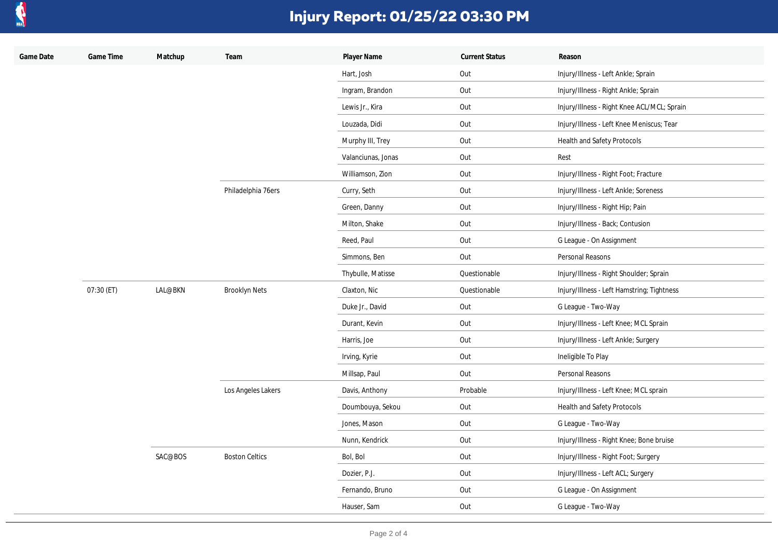

| Game Date | Game Time  | Matchup | Team                  | Player Name        | <b>Current Status</b> | Reason                                      |
|-----------|------------|---------|-----------------------|--------------------|-----------------------|---------------------------------------------|
|           |            |         |                       | Hart, Josh         | Out                   | Injury/Illness - Left Ankle; Sprain         |
|           |            |         |                       | Ingram, Brandon    | Out                   | Injury/Illness - Right Ankle; Sprain        |
|           |            |         |                       | Lewis Jr., Kira    | Out                   | Injury/Illness - Right Knee ACL/MCL; Sprain |
|           |            |         |                       | Louzada, Didi      | Out                   | Injury/Illness - Left Knee Meniscus; Tear   |
|           |            |         |                       | Murphy III, Trey   | Out                   | Health and Safety Protocols                 |
|           |            |         |                       | Valanciunas, Jonas | Out                   | Rest                                        |
|           |            |         |                       | Williamson, Zion   | Out                   | Injury/Illness - Right Foot; Fracture       |
|           |            |         | Philadelphia 76ers    | Curry, Seth        | Out                   | Injury/Illness - Left Ankle; Soreness       |
|           |            |         |                       | Green, Danny       | Out                   | Injury/Illness - Right Hip; Pain            |
|           |            |         |                       | Milton, Shake      | Out                   | Injury/Illness - Back; Contusion            |
|           |            |         |                       | Reed, Paul         | Out                   | G League - On Assignment                    |
|           |            |         |                       | Simmons, Ben       | Out                   | Personal Reasons                            |
|           |            |         |                       | Thybulle, Matisse  | Questionable          | Injury/Illness - Right Shoulder; Sprain     |
|           | 07:30 (ET) | LAL@BKN | <b>Brooklyn Nets</b>  | Claxton, Nic       | Questionable          | Injury/Illness - Left Hamstring; Tightness  |
|           |            |         |                       | Duke Jr., David    | Out                   | G League - Two-Way                          |
|           |            |         |                       | Durant, Kevin      | Out                   | Injury/Illness - Left Knee; MCL Sprain      |
|           |            |         |                       | Harris, Joe        | Out                   | Injury/Illness - Left Ankle; Surgery        |
|           |            |         |                       | Irving, Kyrie      | Out                   | Ineligible To Play                          |
|           |            |         |                       | Millsap, Paul      | Out                   | Personal Reasons                            |
|           |            |         | Los Angeles Lakers    | Davis, Anthony     | Probable              | Injury/Illness - Left Knee; MCL sprain      |
|           |            |         |                       | Doumbouya, Sekou   | Out                   | Health and Safety Protocols                 |
|           |            |         |                       | Jones, Mason       | Out                   | G League - Two-Way                          |
|           |            |         |                       | Nunn, Kendrick     | Out                   | Injury/Illness - Right Knee; Bone bruise    |
|           |            | SAC@BOS | <b>Boston Celtics</b> | Bol, Bol           | Out                   | Injury/Illness - Right Foot; Surgery        |
|           |            |         |                       | Dozier, P.J.       | Out                   | Injury/Illness - Left ACL; Surgery          |
|           |            |         |                       | Fernando, Bruno    | Out                   | G League - On Assignment                    |
|           |            |         |                       | Hauser, Sam        | Out                   | G League - Two-Way                          |
|           |            |         |                       |                    |                       |                                             |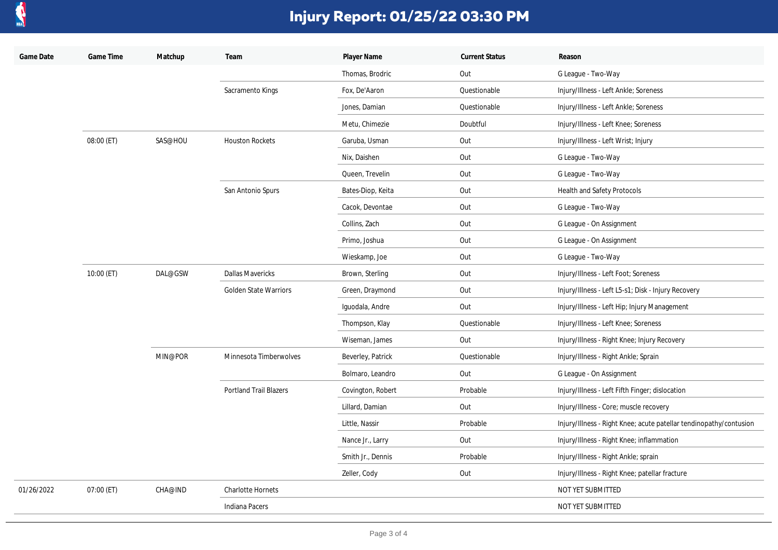

| Game Date  | Game Time  | Matchup | Team                          | Player Name       | <b>Current Status</b> | Reason                                                             |
|------------|------------|---------|-------------------------------|-------------------|-----------------------|--------------------------------------------------------------------|
|            |            |         |                               | Thomas, Brodric   | Out                   | G League - Two-Way                                                 |
|            |            |         | Sacramento Kings              | Fox, De'Aaron     | Questionable          | Injury/Illness - Left Ankle; Soreness                              |
|            |            |         |                               | Jones, Damian     | Questionable          | Injury/Illness - Left Ankle; Soreness                              |
|            |            |         |                               | Metu, Chimezie    | Doubtful              | Injury/Illness - Left Knee; Soreness                               |
|            | 08:00 (ET) | SAS@HOU | <b>Houston Rockets</b>        | Garuba, Usman     | Out                   | Injury/Illness - Left Wrist; Injury                                |
|            |            |         |                               | Nix, Daishen      | Out                   | G League - Two-Way                                                 |
|            |            |         |                               | Queen, Trevelin   | Out                   | G League - Two-Way                                                 |
|            |            |         | San Antonio Spurs             | Bates-Diop, Keita | Out                   | <b>Health and Safety Protocols</b>                                 |
|            |            |         |                               | Cacok, Devontae   | Out                   | G League - Two-Way                                                 |
|            |            |         |                               | Collins, Zach     | Out                   | G League - On Assignment                                           |
|            |            |         |                               | Primo, Joshua     | Out                   | G League - On Assignment                                           |
|            |            |         |                               | Wieskamp, Joe     | Out                   | G League - Two-Way                                                 |
|            | 10:00 (ET) | DAL@GSW | <b>Dallas Mavericks</b>       | Brown, Sterling   | Out                   | Injury/Illness - Left Foot; Soreness                               |
|            |            |         | <b>Golden State Warriors</b>  | Green, Draymond   | Out                   | Injury/Illness - Left L5-s1; Disk - Injury Recovery                |
|            |            |         |                               | Iguodala, Andre   | Out                   | Injury/Illness - Left Hip; Injury Management                       |
|            |            |         |                               | Thompson, Klay    | Questionable          | Injury/Illness - Left Knee; Soreness                               |
|            |            |         |                               | Wiseman, James    | Out                   | Injury/Illness - Right Knee; Injury Recovery                       |
|            |            | MIN@POR | Minnesota Timberwolves        | Beverley, Patrick | Questionable          | Injury/Illness - Right Ankle; Sprain                               |
|            |            |         |                               | Bolmaro, Leandro  | Out                   | G League - On Assignment                                           |
|            |            |         | <b>Portland Trail Blazers</b> | Covington, Robert | Probable              | Injury/Illness - Left Fifth Finger; dislocation                    |
|            |            |         |                               | Lillard, Damian   | Out                   | Injury/Illness - Core; muscle recovery                             |
|            |            |         |                               | Little, Nassir    | Probable              | Injury/Illness - Right Knee; acute patellar tendinopathy/contusion |
|            |            |         |                               | Nance Jr., Larry  | Out                   | Injury/Illness - Right Knee; inflammation                          |
|            |            |         |                               | Smith Jr., Dennis | Probable              | Injury/Illness - Right Ankle; sprain                               |
|            |            |         |                               | Zeller, Cody      | Out                   | Injury/Illness - Right Knee; patellar fracture                     |
| 01/26/2022 | 07:00 (ET) | CHA@IND | <b>Charlotte Hornets</b>      |                   |                       | NOT YET SUBMITTED                                                  |
|            |            |         | <b>Indiana Pacers</b>         |                   |                       | NOT YET SUBMITTED                                                  |
|            |            |         |                               |                   |                       |                                                                    |